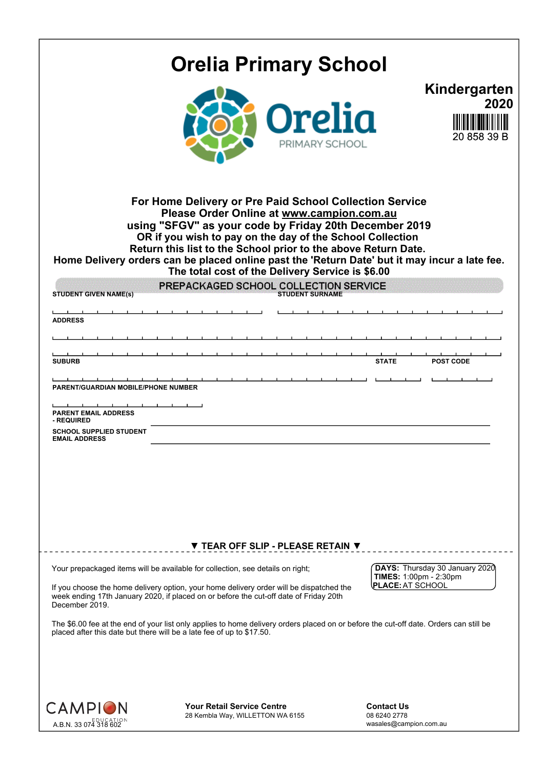|                                                                                                                                                             | <b>Orelia Primary School</b>                                                                                                                                                                                                                                                                                                                                                                                                                                                                |                                                             |                                     |
|-------------------------------------------------------------------------------------------------------------------------------------------------------------|---------------------------------------------------------------------------------------------------------------------------------------------------------------------------------------------------------------------------------------------------------------------------------------------------------------------------------------------------------------------------------------------------------------------------------------------------------------------------------------------|-------------------------------------------------------------|-------------------------------------|
|                                                                                                                                                             | PRIMARY SCHOOL                                                                                                                                                                                                                                                                                                                                                                                                                                                                              |                                                             | Kindergarten<br>2020<br>20 858 39 E |
|                                                                                                                                                             | For Home Delivery or Pre Paid School Collection Service<br>Please Order Online at www.campion.com.au<br>using "SFGV" as your code by Friday 20th December 2019<br>OR if you wish to pay on the day of the School Collection<br>Return this list to the School prior to the above Return Date.<br>Home Delivery orders can be placed online past the 'Return Date' but it may incur a late fee.<br>The total cost of the Delivery Service is \$6.00<br>PREPACKAGED SCHOOL COLLECTION SERVICE |                                                             |                                     |
| <b>STUDENT GIVEN NAME(S)</b><br><b>ADDRESS</b>                                                                                                              | <b>STUDENT SURNAME</b>                                                                                                                                                                                                                                                                                                                                                                                                                                                                      |                                                             |                                     |
| <b>SUBURB</b><br>PARENT/GUARDIAN MOBILE/PHONE NUMBER<br><b>PARENT EMAIL ADDRESS</b><br>- REQUIRED<br><b>SCHOOL SUPPLIED STUDENT</b><br><b>EMAIL ADDRESS</b> |                                                                                                                                                                                                                                                                                                                                                                                                                                                                                             | <b>STATE</b>                                                | <b>POST CODE</b>                    |
|                                                                                                                                                             |                                                                                                                                                                                                                                                                                                                                                                                                                                                                                             |                                                             |                                     |
|                                                                                                                                                             | ▼ TEAR OFF SLIP - PLEASE RETAIN ▼<br>Your prepackaged items will be available for collection, see details on right;                                                                                                                                                                                                                                                                                                                                                                         | DAYS: Thursday 30 January 2020                              |                                     |
| December 2019.                                                                                                                                              | If you choose the home delivery option, your home delivery order will be dispatched the<br>week ending 17th January 2020, if placed on or before the cut-off date of Friday 20th                                                                                                                                                                                                                                                                                                            | TIMES: 1:00pm - 2:30pm<br><b>PLACE: AT SCHOOL</b>           |                                     |
|                                                                                                                                                             | The \$6.00 fee at the end of your list only applies to home delivery orders placed on or before the cut-off date. Orders can still be<br>placed after this date but there will be a late fee of up to \$17.50.                                                                                                                                                                                                                                                                              |                                                             |                                     |
| <b>CAMPION</b><br>EDUCATION<br>A.B.N. 33 074 318 602                                                                                                        | <b>Your Retail Service Centre</b><br>28 Kembla Way, WILLETTON WA 6155                                                                                                                                                                                                                                                                                                                                                                                                                       | <b>Contact Us</b><br>08 6240 2778<br>wasales@campion.com.au |                                     |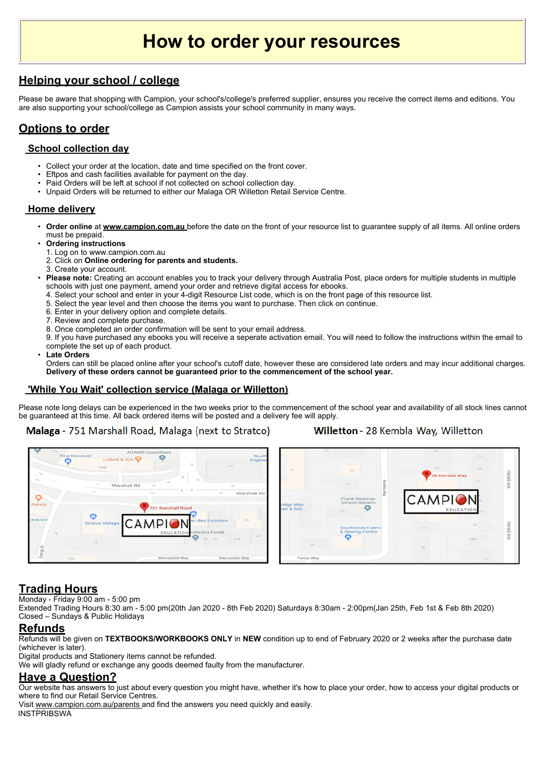# **How to order your resources**

## **Helping your school / college**

Please be aware that shopping with Campion, your school's/college's preferred supplier, ensures you receive the correct items and editions. You are also supporting your school/college as Campion assists your school community in many ways.

## **Options to order**

#### **School collection day**

- Collect your order at the location, date and time specified on the front cover.
- Eftpos and cash facilities available for payment on the day.
- Paid Orders will be left at school if not collected on school collection day.
- Unpaid Orders will be returned to either our Malaga OR Willetton Retail Service Centre.

#### **Home delivery**

- **Order online** at **www.campion.com.au** before the date on the front of your resource list to guarantee supply of all items. All online orders must be prepaid.
- **Ordering instructions** 
	- 1. Log on to www.campion.com.au
	- 2. Click on **Online ordering for parents and students.**
	- 3. Create your account.

• **Please note:** Creating an account enables you to track your delivery through Australia Post, place orders for multiple students in multiple schools with just one payment, amend your order and retrieve digital access for ebooks.

- 4. Select your school and enter in your 4-digit Resource List code, which is on the front page of this resource list.
- 5. Select the year level and then choose the items you want to purchase. Then click on continue.
- 6. Enter in your delivery option and complete details.
- 7. Review and complete purchase.
- 8. Once completed an order confirmation will be sent to your email address.

9. If you have purchased any ebooks you will receive a seperate activation email. You will need to follow the instructions within the email to complete the set up of each product.

#### • **Late Orders**

Orders can still be placed online after your school's cutoff date, however these are considered late orders and may incur additional charges. **Delivery of these orders cannot be guaranteed prior to the commencement of the school year.**

#### **'While You Wait' collection service (Malaga or Willetton)**

Please note long delays can be experienced in the two weeks prior to the commencement of the school year and availability of all stock lines cannot be guaranteed at this time. All back ordered items will be posted and a delivery fee will apply.

#### **Malaga** - 751 Marshall Road, Malaga (next to Stratco)

#### Willetton - 28 Kembla Way, Willetton



## **Trading Hours**

Monday - Friday 9:00 am - 5:00 pm

Extended Trading Hours 8:30 am - 5:00 pm(20th Jan 2020 - 8th Feb 2020) Saturdays 8:30am - 2:00pm(Jan 25th, Feb 1st & Feb 8th 2020) Closed – Sundays & Public Holidays

#### **Refunds**

Refunds will be given on **TEXTBOOKS/WORKBOOKS ONLY** in **NEW** condition up to end of February 2020 or 2 weeks after the purchase date (whichever is later).

Digital products and Stationery items cannot be refunded.

We will gladly refund or exchange any goods deemed faulty from the manufacturer.

### **Have a Question?**

Our website has answers to just about every question you might have, whether it's how to place your order, how to access your digital products or where to find our Retail Service Centres.

Visit www.campion.com.au/parents and find the answers you need quickly and easily. **INSTPRIBSWA**